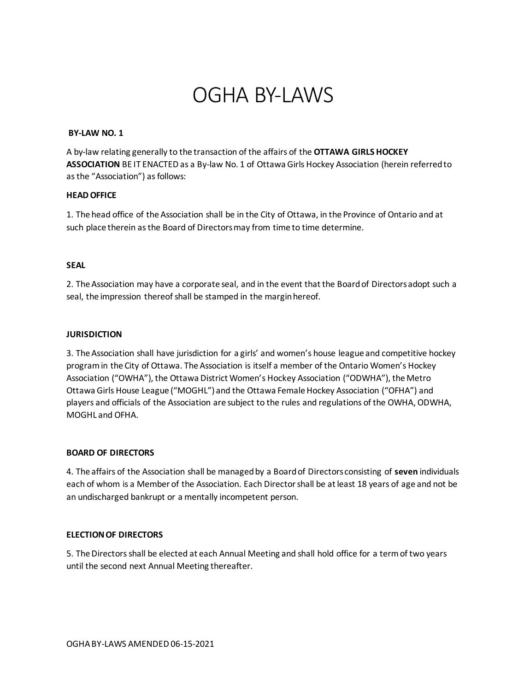# OGHA BY-LAWS

#### **BY-LAW NO. 1**

A by-law relating generally to the transaction of the affairs of the **OTTAWA GIRLS HOCKEY ASSOCIATION** BE IT ENACTED as a By-law No. 1 of Ottawa Girls Hockey Association (herein referred to as the "Association") as follows:

## **HEAD OFFICE**

1. The head office of the Association shall be in the City of Ottawa, in the Province of Ontario and at such place therein as the Board of Directors may from time to time determine.

## **SEAL**

2. The Association may have a corporate seal, and in the event that the Board of Directors adopt such a seal, the impression thereof shall be stamped in the margin hereof.

## **JURISDICTION**

3. The Association shall have jurisdiction for a girls' and women's house league and competitive hockey program in the City of Ottawa. The Association is itself a member of the Ontario Women's Hockey Association ("OWHA"), the Ottawa District Women's Hockey Association ("ODWHA"), the Metro Ottawa Girls House League ("MOGHL") and the Ottawa Female Hockey Association ("OFHA") and players and officials of the Association are subject to the rules and regulations of the OWHA, ODWHA, MOGHL and OFHA.

## **BOARD OF DIRECTORS**

4. The affairs of the Association shall be managed by a Board of Directors consisting of **seven** individuals each of whom is a Member of the Association. Each Director shall be at least 18 years of age and not be an undischarged bankrupt or a mentally incompetent person.

## **ELECTION OF DIRECTORS**

5. The Directors shall be elected at each Annual Meeting and shall hold office for a term of two years until the second next Annual Meeting thereafter.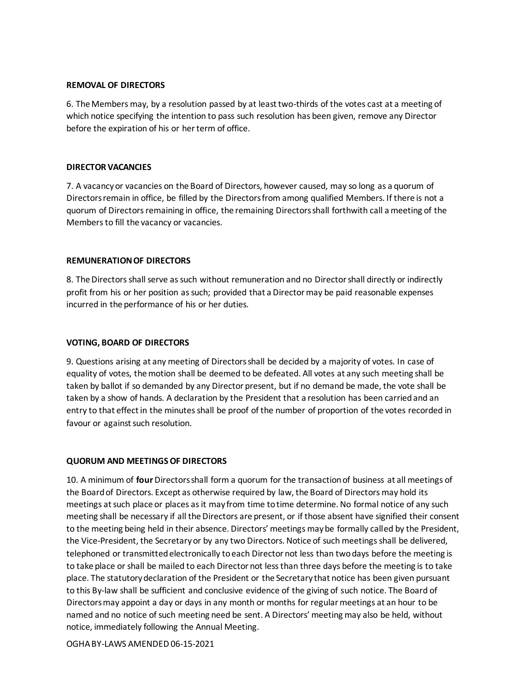#### **REMOVAL OF DIRECTORS**

6. The Members may, by a resolution passed by at least two-thirds of the votes cast at a meeting of which notice specifying the intention to pass such resolution has been given, remove any Director before the expiration of his or her term of office.

#### **DIRECTOR VACANCIES**

7. A vacancy or vacancies on the Board of Directors, however caused, may so long as a quorum of Directors remain in office, be filled by the Directors from among qualified Members. If there is not a quorum of Directors remaining in office, the remaining Directors shall forthwith call a meeting of the Members to fill the vacancy or vacancies.

#### **REMUNERATION OF DIRECTORS**

8. The Directors shall serve as such without remuneration and no Director shall directly or indirectly profit from his or her position as such; provided that a Director may be paid reasonable expenses incurred in the performance of his or her duties.

#### **VOTING, BOARD OF DIRECTORS**

9. Questions arising at any meeting of Directors shall be decided by a majority of votes. In case of equality of votes, the motion shall be deemed to be defeated. All votes at any such meeting shall be taken by ballot if so demanded by any Director present, but if no demand be made, the vote shall be taken by a show of hands. A declaration by the President that a resolution has been carried and an entry to that effect in the minutes shall be proof of the number of proportion of the votes recorded in favour or against such resolution.

#### **QUORUM AND MEETINGS OF DIRECTORS**

10. A minimum of **four**Directors shall form a quorum for the transaction of business at all meetings of the Board of Directors. Except as otherwise required by law, the Board of Directors may hold its meetings at such place or places as it may from time to time determine. No formal notice of any such meeting shall be necessary if all the Directors are present, or if those absent have signified their consent to the meeting being held in their absence. Directors' meetings may be formally called by the President, the Vice-President, the Secretary or by any two Directors. Notice of such meetings shall be delivered, telephoned or transmitted electronically to each Director not less than two days before the meeting is to take place or shall be mailed to each Director not less than three days before the meeting is to take place. The statutory declaration of the President or the Secretary that notice has been given pursuant to this By-law shall be sufficient and conclusive evidence of the giving of such notice. The Board of Directors may appoint a day or days in any month or months for regular meetings at an hour to be named and no notice of such meeting need be sent. A Directors' meeting may also be held, without notice, immediately following the Annual Meeting.

OGHA BY-LAWS AMENDED 06-15-2021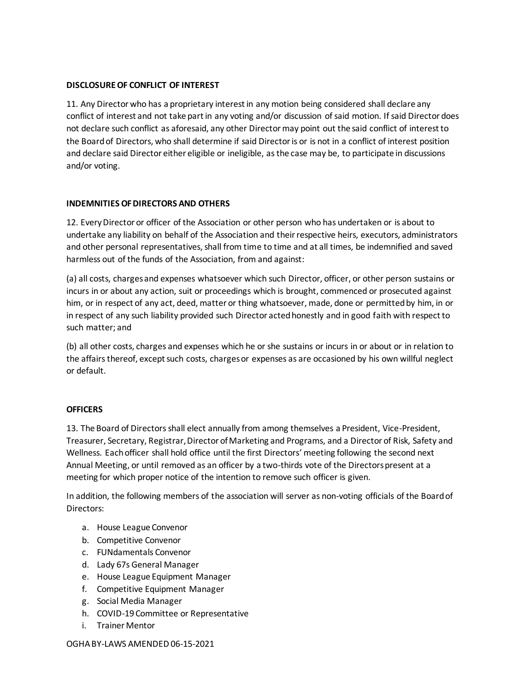## **DISCLOSURE OF CONFLICT OF INTEREST**

11. Any Director who has a proprietary interest in any motion being considered shall declare any conflict of interest and not take part in any voting and/or discussion of said motion. If said Director does not declare such conflict as aforesaid, any other Director may point out the said conflict of interest to the Board of Directors, who shall determine if said Director is or is not in a conflict of interest position and declare said Director either eligible or ineligible, as the case may be, to participate in discussions and/or voting.

## **INDEMNITIES OF DIRECTORS AND OTHERS**

12. Every Director or officer of the Association or other person who has undertaken or is about to undertake any liability on behalf of the Association and their respective heirs, executors, administrators and other personal representatives, shall from time to time and at all times, be indemnified and saved harmless out of the funds of the Association, from and against:

(a) all costs, charges and expenses whatsoever which such Director, officer, or other person sustains or incurs in or about any action, suit or proceedings which is brought, commenced or prosecuted against him, or in respect of any act, deed, matter or thing whatsoever, made, done or permitted by him, in or in respect of any such liability provided such Director acted honestly and in good faith with respect to such matter; and

(b) all other costs, charges and expenses which he or she sustains or incurs in or about or in relation to the affairs thereof, except such costs, charges or expenses as are occasioned by his own willful neglect or default.

## **OFFICERS**

13. The Board of Directors shall elect annually from among themselves a President, Vice-President, Treasurer, Secretary, Registrar,Director of Marketing and Programs, and a Director of Risk, Safety and Wellness. Each officer shall hold office until the first Directors' meeting following the second next Annual Meeting, or until removed as an officer by a two-thirds vote of the Directors present at a meeting for which proper notice of the intention to remove such officer is given.

In addition, the following members of the association will server as non-voting officials of the Board of Directors:

- a. House League Convenor
- b. Competitive Convenor
- c. FUNdamentals Convenor
- d. Lady 67s General Manager
- e. House League Equipment Manager
- f. Competitive Equipment Manager
- g. Social Media Manager
- h. COVID-19 Committee or Representative
- i. Trainer Mentor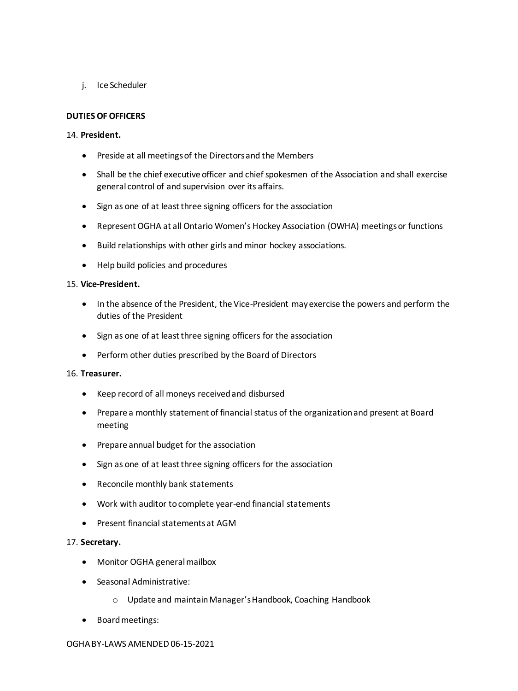j. Ice Scheduler

# **DUTIES OF OFFICERS**

## 14. **President.**

- Preside at all meetings of the Directors and the Members
- Shall be the chief executive officer and chief spokesmen of the Association and shall exercise general control of and supervision over its affairs.
- Sign as one of at least three signing officers for the association
- Represent OGHA at all Ontario Women's Hockey Association (OWHA) meetings or functions
- Build relationships with other girls and minor hockey associations.
- Help build policies and procedures

#### 15. **Vice-President.**

- In the absence of the President, the Vice-President may exercise the powers and perform the duties of the President
- Sign as one of at least three signing officers for the association
- Perform other duties prescribed by the Board of Directors

#### 16. **Treasurer.**

- Keep record of all moneys received and disbursed
- Prepare a monthly statement of financial status of the organization and present at Board meeting
- Prepare annual budget for the association
- Sign as one of at least three signing officers for the association
- Reconcile monthly bank statements
- Work with auditor to complete year-end financial statements
- Present financial statements at AGM

#### 17. **Secretary.**

- Monitor OGHA general mailbox
- Seasonal Administrative:
	- o Update and maintain Manager's Handbook, Coaching Handbook
- Board meetings: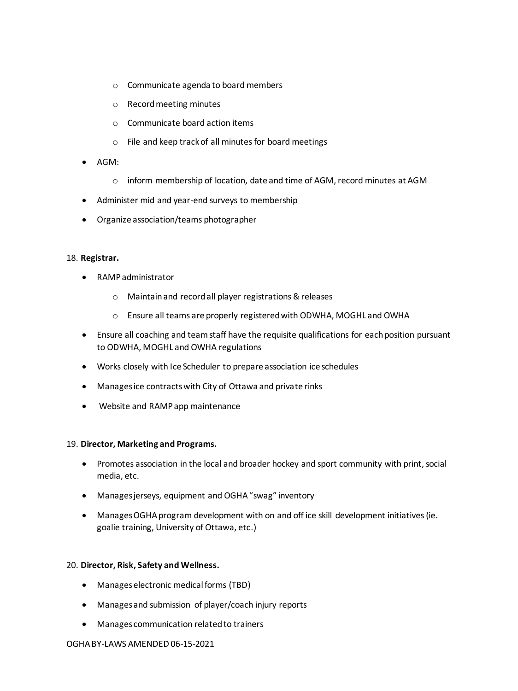- o Communicate agenda to board members
- o Record meeting minutes
- o Communicate board action items
- o File and keep track of all minutes for board meetings
- AGM:
	- o inform membership of location, date and time of AGM, record minutes at AGM
- Administer mid and year-end surveys to membership
- Organize association/teams photographer

#### 18. **Registrar.**

- RAMP administrator
	- o Maintain and record all player registrations & releases
	- o Ensure all teams are properly registered with ODWHA, MOGHL and OWHA
- Ensure all coaching and team staff have the requisite qualifications for each position pursuant to ODWHA, MOGHL and OWHA regulations
- Works closely with Ice Scheduler to prepare association ice schedules
- Manages ice contracts with City of Ottawa and private rinks
- Website and RAMP app maintenance

#### 19. **Director, Marketing and Programs.**

- Promotes association in the local and broader hockey and sport community with print, social media, etc.
- Manages jerseys, equipment and OGHA "swag" inventory
- Manages OGHA program development with on and off ice skill development initiatives (ie. goalie training, University of Ottawa, etc.)

#### 20. **Director, Risk, Safety and Wellness.**

- Manages electronic medical forms (TBD)
- Manages and submission of player/coach injury reports
- Manages communication related to trainers

#### OGHA BY-LAWS AMENDED 06-15-2021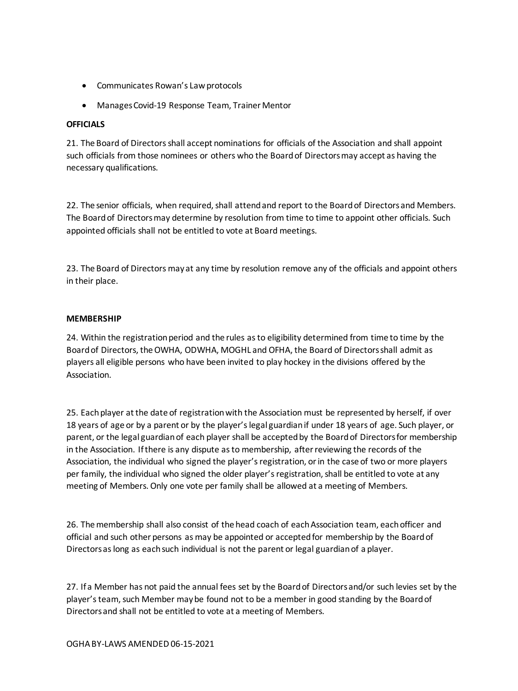- Communicates Rowan's Law protocols
- Manages Covid-19 Response Team, Trainer Mentor

# **OFFICIALS**

21. The Board of Directors shall accept nominations for officials of the Association and shall appoint such officials from those nominees or others who the Board of Directors may accept as having the necessary qualifications.

22. The senior officials, when required, shall attend and report to the Board of Directors and Members. The Board of Directors may determine by resolution from time to time to appoint other officials. Such appointed officials shall not be entitled to vote at Board meetings.

23. The Board of Directors may at any time by resolution remove any of the officials and appoint others in their place.

## **MEMBERSHIP**

24. Within the registration period and the rules as to eligibility determined from time to time by the Board of Directors, the OWHA, ODWHA, MOGHL and OFHA, the Board of Directors shall admit as players all eligible persons who have been invited to play hockey in the divisions offered by the Association.

25. Each player at the date of registration with the Association must be represented by herself, if over 18 years of age or by a parent or by the player's legal guardian if under 18 years of age. Such player, or parent, or the legal guardian of each player shall be accepted by the Board of Directors for membership in the Association. If there is any dispute as to membership, after reviewing the records of the Association, the individual who signed the player's registration, or in the case of two or more players per family, the individual who signed the older player's registration, shall be entitled to vote at any meeting of Members. Only one vote per family shall be allowed at a meeting of Members.

26. The membership shall also consist of the head coach of each Association team, each officer and official and such other persons as may be appointed or accepted for membership by the Board of Directors as long as each such individual is not the parent or legal guardian of a player.

27. If a Member has not paid the annual fees set by the Board of Directors and/or such levies set by the player's team, such Member may be found not to be a member in good standing by the Board of Directors and shall not be entitled to vote at a meeting of Members.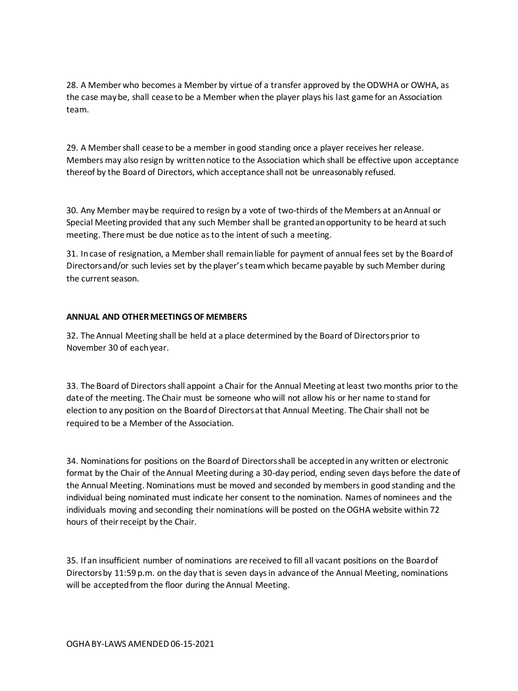28. A Member who becomes a Member by virtue of a transfer approved by the ODWHA or OWHA, as the case may be, shall cease to be a Member when the player plays his last game for an Association team.

29. A Member shall cease to be a member in good standing once a player receives her release. Members may also resign by written notice to the Association which shall be effective upon acceptance thereof by the Board of Directors, which acceptance shall not be unreasonably refused.

30. Any Member may be required to resign by a vote of two-thirds of the Members at an Annual or Special Meeting provided that any such Member shall be granted an opportunity to be heard at such meeting. There must be due notice as to the intent of such a meeting.

31. In case of resignation, a Member shall remain liable for payment of annual fees set by the Board of Directors and/or such levies set by the player's team which became payable by such Member during the current season.

## **ANNUAL AND OTHER MEETINGS OF MEMBERS**

32. The Annual Meeting shall be held at a place determined by the Board of Directors prior to November 30 of each year.

33. The Board of Directors shall appoint a Chair for the Annual Meeting at least two months prior to the date of the meeting. The Chair must be someone who will not allow his or her name to stand for election to any position on the Board of Directors at that Annual Meeting. The Chair shall not be required to be a Member of the Association.

34. Nominations for positions on the Board of Directors shall be accepted in any written or electronic format by the Chair of the Annual Meeting during a 30-day period, ending seven days before the date of the Annual Meeting. Nominations must be moved and seconded by members in good standing and the individual being nominated must indicate her consent to the nomination. Names of nominees and the individuals moving and seconding their nominations will be posted on the OGHA website within 72 hours of their receipt by the Chair.

35. If an insufficient number of nominations are received to fill all vacant positions on the Board of Directors by 11:59 p.m. on the day that is seven days in advance of the Annual Meeting, nominations will be accepted from the floor during the Annual Meeting.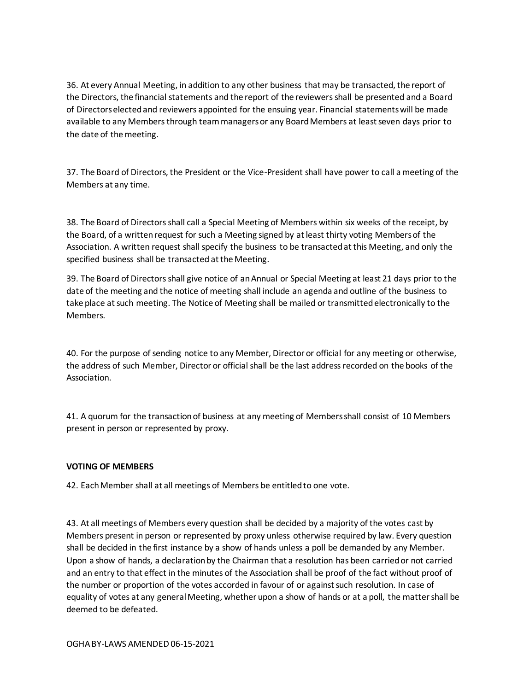36. At every Annual Meeting, in addition to any other business that may be transacted, the report of the Directors, the financial statements and the report of the reviewers shall be presented and a Board of Directors elected and reviewers appointed for the ensuing year. Financial statements will be made available to any Members through team managers or any Board Members at least seven days prior to the date of the meeting.

37. The Board of Directors, the President or the Vice-President shall have power to call a meeting of the Members at any time.

38. The Board of Directors shall call a Special Meeting of Members within six weeks of the receipt, by the Board, of a written request for such a Meeting signed by at least thirty voting Members of the Association. A written request shall specify the business to be transacted at this Meeting, and only the specified business shall be transacted at the Meeting.

39. The Board of Directors shall give notice of an Annual or Special Meeting at least 21 days prior to the date of the meeting and the notice of meeting shall include an agenda and outline of the business to take place at such meeting. The Notice of Meeting shall be mailed or transmitted electronically to the Members.

40. For the purpose of sending notice to any Member, Director or official for any meeting or otherwise, the address of such Member, Director or official shall be the last address recorded on the books of the Association.

41. A quorum for the transaction of business at any meeting of Members shall consist of 10 Members present in person or represented by proxy.

## **VOTING OF MEMBERS**

42. Each Member shall at all meetings of Members be entitled to one vote.

43. At all meetings of Members every question shall be decided by a majority of the votes cast by Members present in person or represented by proxy unless otherwise required by law. Every question shall be decided in the first instance by a show of hands unless a poll be demanded by any Member. Upon a show of hands, a declaration by the Chairman that a resolution has been carried or not carried and an entry to that effect in the minutes of the Association shall be proof of the fact without proof of the number or proportion of the votes accorded in favour of or against such resolution. In case of equality of votes at any general Meeting, whether upon a show of hands or at a poll, the matter shall be deemed to be defeated.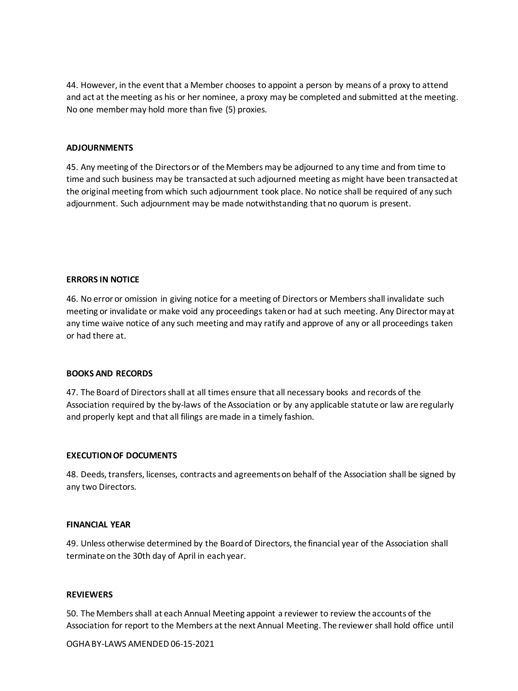44. However, in the event that a Member chooses to appoint a person by means of a proxy to attend and act at the meeting as his or her nominee, a proxy may be completed and submitted at the meeting. No one member may hold more than five (5) proxies.

#### **ADJOURNMENTS**

45. Any meeting of the Directors or of the Members may be adjourned to any time and from time to time and such business may be transacted at such adjourned meeting as might have been transacted at the original meeting from which such adjournment took place. No notice shall be required of any such adjournment. Such adjournment may be made notwithstanding that no quorum is present.

#### **ERRORS IN NOTICE**

46. No error or omission in giving notice for a meeting of Directors or Members shall invalidate such meeting or invalidate or make void any proceedings taken or had at such meeting. Any Director may at any time waive notice of any such meeting and may ratify and approve of any or all proceedings taken or had there at.

#### **BOOKS AND RECORDS**

47. The Board of Directors shall at all times ensure that all necessary books and records of the Association required by the by-laws of the Association or by any applicable statute or law are regularly and properly kept and that all filings are made in a timely fashion.

#### **EXECUTION OF DOCUMENTS**

48. Deeds, transfers, licenses, contracts and agreements on behalf of the Association shall be signed by any two Directors.

#### **FINANCIAL YEAR**

49. Unless otherwise determined by the Board of Directors, the financial year of the Association shall terminate on the 30th day of April in each year.

#### **REVIEWERS**

50. The Members shall at each Annual Meeting appoint a reviewer to review the accounts of the Association for report to the Members at the next Annual Meeting. The reviewer shall hold office until